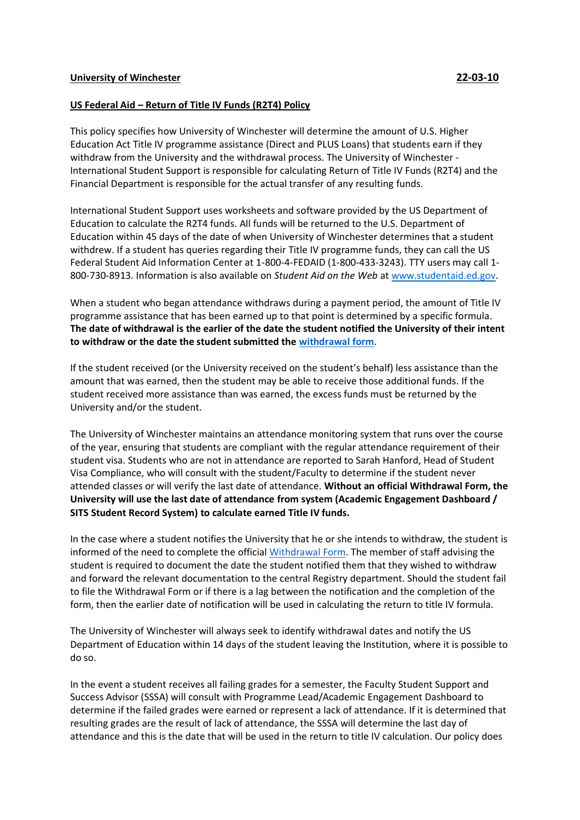## **US Federal Aid – Return of Title IV Funds (R2T4) Policy**

This policy specifies how University of Winchester will determine the amount of U.S. Higher Education Act Title IV programme assistance (Direct and PLUS Loans) that students earn if they withdraw from the University and the withdrawal process. The University of Winchester - International Student Support is responsible for calculating Return of Title IV Funds (R2T4) and the Financial Department is responsible for the actual transfer of any resulting funds.

International Student Support uses worksheets and software provided by the US Department of Education to calculate the R2T4 funds. All funds will be returned to the U.S. Department of Education within 45 days of the date of when University of Winchester determines that a student withdrew. If a student has queries regarding their Title IV programme funds, they can call the US Federal Student Aid Information Center at 1-800-4-FEDAID (1-800-433-3243). TTY users may call 1- 800-730-8913. Information is also available on *Student Aid on the Web* a[t www.studentaid.ed.gov.](http://www.studentaid.ed.gov/)

When a student who began attendance withdraws during a payment period, the amount of Title IV programme assistance that has been earned up to that point is determined by a specific formula. **The date of withdrawal is the earlier of the date the student notified the University of their intent to withdraw or the date the student submitted the [withdrawal form](https://unimailwinchesterac.sharepoint.com/sites/intranet#/start/teams-and-services/registry/forms-for-students)**.

If the student received (or the University received on the student's behalf) less assistance than the amount that was earned, then the student may be able to receive those additional funds. If the student received more assistance than was earned, the excess funds must be returned by the University and/or the student.

The University of Winchester maintains an attendance monitoring system that runs over the course of the year, ensuring that students are compliant with the regular attendance requirement of their student visa. Students who are not in attendance are reported to Sarah Hanford, Head of Student Visa Compliance, who will consult with the student/Faculty to determine if the student never attended classes or will verify the last date of attendance. **Without an official Withdrawal Form, the University will use the last date of attendance from system (Academic Engagement Dashboard / SITS Student Record System) to calculate earned Title IV funds.**

In the case where a student notifies the University that he or she intends to withdraw, the student is informed of the need to complete the official [Withdrawal Form.](https://unimailwinchesterac.sharepoint.com/sites/intranet#/start/teams-and-services/registry/forms-for-students) The member of staff advising the student is required to document the date the student notified them that they wished to withdraw and forward the relevant documentation to the central Registry department. Should the student fail to file the Withdrawal Form or if there is a lag between the notification and the completion of the form, then the earlier date of notification will be used in calculating the return to title IV formula.

The University of Winchester will always seek to identify withdrawal dates and notify the US Department of Education within 14 days of the student leaving the Institution, where it is possible to do so.

In the event a student receives all failing grades for a semester, the Faculty Student Support and Success Advisor (SSSA) will consult with Programme Lead/Academic Engagement Dashboard to determine if the failed grades were earned or represent a lack of attendance. If it is determined that resulting grades are the result of lack of attendance, the SSSA will determine the last day of attendance and this is the date that will be used in the return to title IV calculation. Our policy does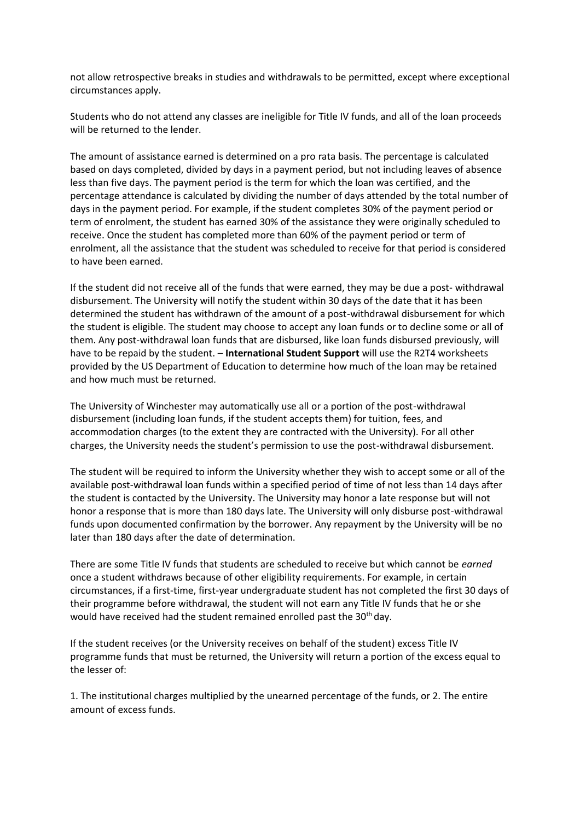not allow retrospective breaks in studies and withdrawals to be permitted, except where exceptional circumstances apply.

Students who do not attend any classes are ineligible for Title IV funds, and all of the loan proceeds will be returned to the lender.

The amount of assistance earned is determined on a pro rata basis. The percentage is calculated based on days completed, divided by days in a payment period, but not including leaves of absence less than five days. The payment period is the term for which the loan was certified, and the percentage attendance is calculated by dividing the number of days attended by the total number of days in the payment period. For example, if the student completes 30% of the payment period or term of enrolment, the student has earned 30% of the assistance they were originally scheduled to receive. Once the student has completed more than 60% of the payment period or term of enrolment, all the assistance that the student was scheduled to receive for that period is considered to have been earned.

If the student did not receive all of the funds that were earned, they may be due a post- withdrawal disbursement. The University will notify the student within 30 days of the date that it has been determined the student has withdrawn of the amount of a post-withdrawal disbursement for which the student is eligible. The student may choose to accept any loan funds or to decline some or all of them. Any post-withdrawal loan funds that are disbursed, like loan funds disbursed previously, will have to be repaid by the student. – **International Student Support** will use the R2T4 worksheets provided by the US Department of Education to determine how much of the loan may be retained and how much must be returned.

The University of Winchester may automatically use all or a portion of the post-withdrawal disbursement (including loan funds, if the student accepts them) for tuition, fees, and accommodation charges (to the extent they are contracted with the University). For all other charges, the University needs the student's permission to use the post-withdrawal disbursement.

The student will be required to inform the University whether they wish to accept some or all of the available post-withdrawal loan funds within a specified period of time of not less than 14 days after the student is contacted by the University. The University may honor a late response but will not honor a response that is more than 180 days late. The University will only disburse post-withdrawal funds upon documented confirmation by the borrower. Any repayment by the University will be no later than 180 days after the date of determination.

There are some Title IV funds that students are scheduled to receive but which cannot be *earned*  once a student withdraws because of other eligibility requirements. For example, in certain circumstances, if a first-time, first-year undergraduate student has not completed the first 30 days of their programme before withdrawal, the student will not earn any Title IV funds that he or she would have received had the student remained enrolled past the 30<sup>th</sup> day.

If the student receives (or the University receives on behalf of the student) excess Title IV programme funds that must be returned, the University will return a portion of the excess equal to the lesser of:

1. The institutional charges multiplied by the unearned percentage of the funds, or 2. The entire amount of excess funds.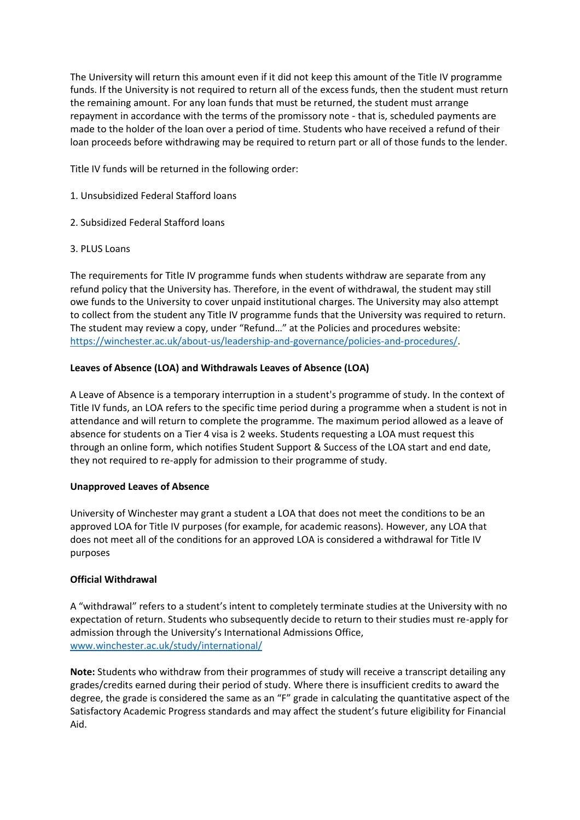The University will return this amount even if it did not keep this amount of the Title IV programme funds. If the University is not required to return all of the excess funds, then the student must return the remaining amount. For any loan funds that must be returned, the student must arrange repayment in accordance with the terms of the promissory note - that is, scheduled payments are made to the holder of the loan over a period of time. Students who have received a refund of their loan proceeds before withdrawing may be required to return part or all of those funds to the lender.

Title IV funds will be returned in the following order:

- 1. Unsubsidized Federal Stafford loans
- 2. Subsidized Federal Stafford loans
- 3. PLUS Loans

The requirements for Title IV programme funds when students withdraw are separate from any refund policy that the University has. Therefore, in the event of withdrawal, the student may still owe funds to the University to cover unpaid institutional charges. The University may also attempt to collect from the student any Title IV programme funds that the University was required to return. The student may review a copy, under "Refund…" at the Policies and procedures website: [https://winchester.ac.uk/about-us/leadership-and-governance/policies-and-procedures/.](https://winchester.ac.uk/about-us/leadership-and-governance/policies-and-procedures/)

## **Leaves of Absence (LOA) and Withdrawals Leaves of Absence (LOA)**

A Leave of Absence is a temporary interruption in a student's programme of study. In the context of Title IV funds, an LOA refers to the specific time period during a programme when a student is not in attendance and will return to complete the programme. The maximum period allowed as a leave of absence for students on a Tier 4 visa is 2 weeks. Students requesting a LOA must request this through an online form, which notifies Student Support & Success of the LOA start and end date, they not required to re-apply for admission to their programme of study.

### **Unapproved Leaves of Absence**

University of Winchester may grant a student a LOA that does not meet the conditions to be an approved LOA for Title IV purposes (for example, for academic reasons). However, any LOA that does not meet all of the conditions for an approved LOA is considered a withdrawal for Title IV purposes

### **Official Withdrawal**

A "withdrawal" refers to a student's intent to completely terminate studies at the University with no expectation of return. Students who subsequently decide to return to their studies must re-apply for admission through the University's International Admissions Office, [www.winchester.ac.uk/study/international/](http://www.winchester.ac.uk/study/international/)

**Note:** Students who withdraw from their programmes of study will receive a transcript detailing any grades/credits earned during their period of study. Where there is insufficient credits to award the degree, the grade is considered the same as an "F" grade in calculating the quantitative aspect of the Satisfactory Academic Progress standards and may affect the student's future eligibility for Financial Aid.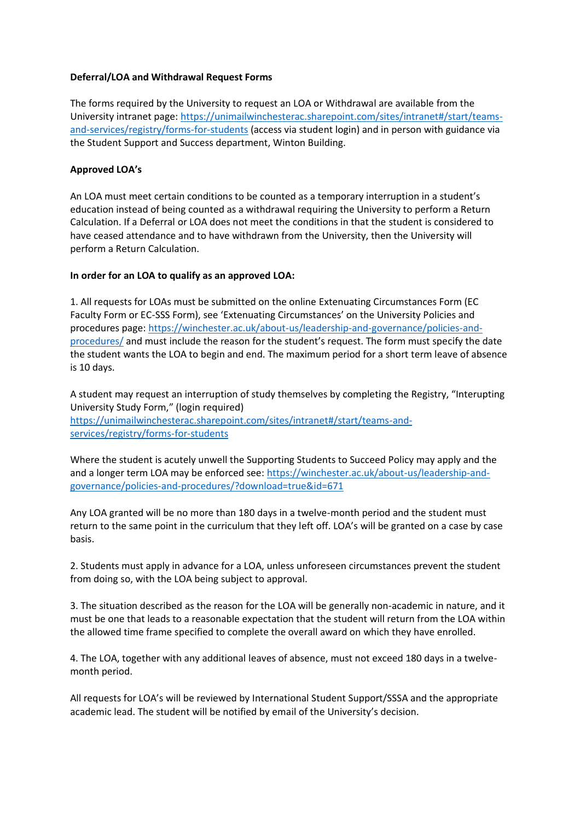### **Deferral/LOA and Withdrawal Request Forms**

The forms required by the University to request an LOA or Withdrawal are available from the University intranet page: [https://unimailwinchesterac.sharepoint.com/sites/intranet#/start/teams](https://unimailwinchesterac.sharepoint.com/sites/intranet#/start/teams-and-services/registry/forms-for-students)[and-services/registry/forms-for-students](https://unimailwinchesterac.sharepoint.com/sites/intranet#/start/teams-and-services/registry/forms-for-students) (access via student login) and in person with guidance via the Student Support and Success department, Winton Building.

## **Approved LOA's**

An LOA must meet certain conditions to be counted as a temporary interruption in a student's education instead of being counted as a withdrawal requiring the University to perform a Return Calculation. If a Deferral or LOA does not meet the conditions in that the student is considered to have ceased attendance and to have withdrawn from the University, then the University will perform a Return Calculation.

## **In order for an LOA to qualify as an approved LOA:**

1. All requests for LOAs must be submitted on the online Extenuating Circumstances Form (EC Faculty Form or EC-SSS Form), see 'Extenuating Circumstances' on the University Policies and procedures page: [https://winchester.ac.uk/about-us/leadership-and-governance/policies-and](https://winchester.ac.uk/about-us/leadership-and-governance/policies-and-procedures/)[procedures/](https://winchester.ac.uk/about-us/leadership-and-governance/policies-and-procedures/) and must include the reason for the student's request. The form must specify the date the student wants the LOA to begin and end. The maximum period for a short term leave of absence is 10 days.

A student may request an interruption of study themselves by completing the Registry, "Interupting University Study Form," (login required) [https://unimailwinchesterac.sharepoint.com/sites/intranet#/start/teams-and](https://unimailwinchesterac.sharepoint.com/sites/intranet#/start/teams-and-services/registry/forms-for-students)[services/registry/forms-for-students](https://unimailwinchesterac.sharepoint.com/sites/intranet#/start/teams-and-services/registry/forms-for-students) 

Where the student is acutely unwell the Supporting Students to Succeed Policy may apply and the and a longer term LOA may be enforced see: [https://winchester.ac.uk/about-us/leadership-and](https://winchester.ac.uk/about-us/leadership-and-governance/policies-and-procedures/?download=true&id=671)[governance/policies-and-procedures/?download=true&id=671](https://winchester.ac.uk/about-us/leadership-and-governance/policies-and-procedures/?download=true&id=671)

Any LOA granted will be no more than 180 days in a twelve-month period and the student must return to the same point in the curriculum that they left off. LOA's will be granted on a case by case basis.

2. Students must apply in advance for a LOA, unless unforeseen circumstances prevent the student from doing so, with the LOA being subject to approval.

3. The situation described as the reason for the LOA will be generally non-academic in nature, and it must be one that leads to a reasonable expectation that the student will return from the LOA within the allowed time frame specified to complete the overall award on which they have enrolled.

4. The LOA, together with any additional leaves of absence, must not exceed 180 days in a twelvemonth period.

All requests for LOA's will be reviewed by International Student Support/SSSA and the appropriate academic lead. The student will be notified by email of the University's decision.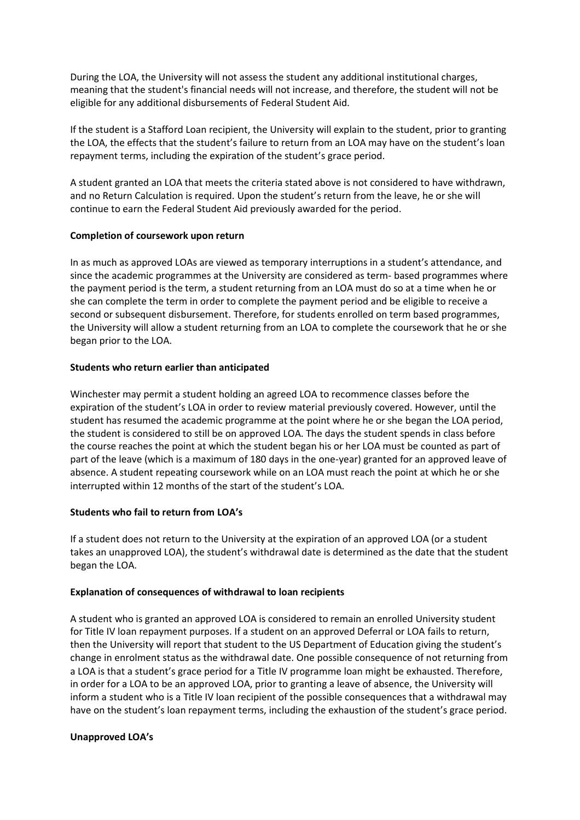During the LOA, the University will not assess the student any additional institutional charges, meaning that the student's financial needs will not increase, and therefore, the student will not be eligible for any additional disbursements of Federal Student Aid.

If the student is a Stafford Loan recipient, the University will explain to the student, prior to granting the LOA, the effects that the student's failure to return from an LOA may have on the student's loan repayment terms, including the expiration of the student's grace period.

A student granted an LOA that meets the criteria stated above is not considered to have withdrawn, and no Return Calculation is required. Upon the student's return from the leave, he or she will continue to earn the Federal Student Aid previously awarded for the period.

## **Completion of coursework upon return**

In as much as approved LOAs are viewed as temporary interruptions in a student's attendance, and since the academic programmes at the University are considered as term- based programmes where the payment period is the term, a student returning from an LOA must do so at a time when he or she can complete the term in order to complete the payment period and be eligible to receive a second or subsequent disbursement. Therefore, for students enrolled on term based programmes, the University will allow a student returning from an LOA to complete the coursework that he or she began prior to the LOA.

## **Students who return earlier than anticipated**

Winchester may permit a student holding an agreed LOA to recommence classes before the expiration of the student's LOA in order to review material previously covered. However, until the student has resumed the academic programme at the point where he or she began the LOA period, the student is considered to still be on approved LOA. The days the student spends in class before the course reaches the point at which the student began his or her LOA must be counted as part of part of the leave (which is a maximum of 180 days in the one-year) granted for an approved leave of absence. A student repeating coursework while on an LOA must reach the point at which he or she interrupted within 12 months of the start of the student's LOA.

# **Students who fail to return from LOA's**

If a student does not return to the University at the expiration of an approved LOA (or a student takes an unapproved LOA), the student's withdrawal date is determined as the date that the student began the LOA.

### **Explanation of consequences of withdrawal to loan recipients**

A student who is granted an approved LOA is considered to remain an enrolled University student for Title IV loan repayment purposes. If a student on an approved Deferral or LOA fails to return, then the University will report that student to the US Department of Education giving the student's change in enrolment status as the withdrawal date. One possible consequence of not returning from a LOA is that a student's grace period for a Title IV programme loan might be exhausted. Therefore, in order for a LOA to be an approved LOA, prior to granting a leave of absence, the University will inform a student who is a Title IV loan recipient of the possible consequences that a withdrawal may have on the student's loan repayment terms, including the exhaustion of the student's grace period.

### **Unapproved LOA's**